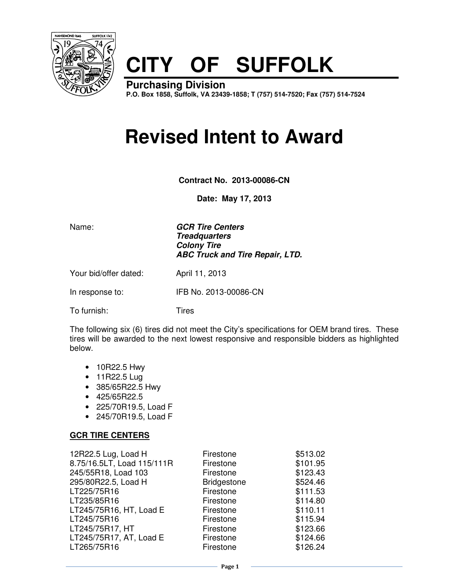

# **CITY OF SUFFOLK**

**Purchasing Division P.O. Box 1858, Suffolk, VA 23439-1858; T (757) 514-7520; Fax (757) 514-7524**

# **Revised Intent to Award**

**Contract No. 2013-00086-CN** 

**Date: May 17, 2013**

Name: **GCR Tire Centers Treadquarters Colony Tire ABC Truck and Tire Repair, LTD.**

Your bid/offer dated: April 11, 2013

In response to: IFB No. 2013-00086-CN

To furnish: Tires

The following six (6) tires did not meet the City's specifications for OEM brand tires. These tires will be awarded to the next lowest responsive and responsible bidders as highlighted below.

- 10R22.5 Hwy
- 11R22.5 Lug
- 385/65R22.5 Hwy
- 425/65R22.5
- 225/70R19.5, Load F
- 245/70R19.5, Load F

#### **GCR TIRE CENTERS**

| 12R22.5 Lug, Load H<br>8.75/16.5LT, Load 115/111R<br>245/55R18, Load 103<br>295/80R22.5, Load H<br>LT225/75R16<br>LT235/85R16<br>LT245/75R16, HT, Load E | Firestone<br>Firestone<br>Firestone<br><b>Bridgestone</b><br>Firestone<br>Firestone<br>Firestone | \$513.02<br>\$101.95<br>\$123.43<br>\$524.46<br>\$111.53<br>\$114.80<br>\$110.11 |
|----------------------------------------------------------------------------------------------------------------------------------------------------------|--------------------------------------------------------------------------------------------------|----------------------------------------------------------------------------------|
|                                                                                                                                                          |                                                                                                  |                                                                                  |
| LT245/75R16                                                                                                                                              | Firestone                                                                                        | \$115.94                                                                         |
| LT245/75R17, HT<br>LT245/75R17, AT, Load E                                                                                                               | Firestone<br>Firestone                                                                           | \$123.66<br>\$124.66                                                             |
| LT265/75R16                                                                                                                                              | Firestone                                                                                        | \$126.24                                                                         |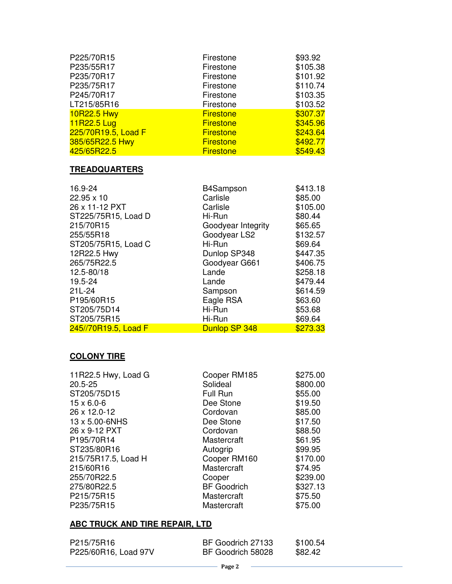| P225/70R15          | Firestone        | \$93.92  |
|---------------------|------------------|----------|
| P235/55R17          | Firestone        | \$105.38 |
| P235/70R17          | Firestone        | \$101.92 |
| P235/75R17          | Firestone        | \$110.74 |
| P245/70R17          | Firestone        | \$103.35 |
| LT215/85R16         | Firestone        | \$103.52 |
| 10R22.5 Hwy         | <b>Firestone</b> | \$307.37 |
| 11R22.5 Lug         | <b>Firestone</b> | \$345.96 |
| 225/70R19.5, Load F | <b>Firestone</b> | \$243.64 |
| 385/65R22.5 Hwy     | <b>Firestone</b> | \$492.77 |
| 425/65R22.5         | <b>Firestone</b> | \$549.43 |

# **TREADQUARTERS**

| 16.9-24              | B4Sampson          | \$413.18 |
|----------------------|--------------------|----------|
| 22.95 x 10           | Carlisle           | \$85.00  |
| 26 x 11-12 PXT       | Carlisle           | \$105.00 |
| ST225/75R15, Load D  | Hi-Run             | \$80.44  |
| 215/70R15            | Goodyear Integrity | \$65.65  |
| 255/55R18            | Goodyear LS2       | \$132.57 |
| ST205/75R15, Load C  | Hi-Run             | \$69.64  |
| 12R22.5 Hwy          | Dunlop SP348       | \$447.35 |
| 265/75R22.5          | Goodyear G661      | \$406.75 |
| 12.5-80/18           | Lande              | \$258.18 |
| 19.5-24              | Lande              | \$479.44 |
| $21L-24$             | Sampson            | \$614.59 |
| P195/60R15           | Eagle RSA          | \$63.60  |
| ST205/75D14          | Hi-Run             | \$53.68  |
| ST205/75R15          | Hi-Run             | \$69.64  |
| 245//70R19.5, Load F | Dunlop SP 348      | \$273.33 |

### **COLONY TIRE**

| Cooper RM185       | \$275.00 |
|--------------------|----------|
| Solideal           | \$800.00 |
| Full Run           | \$55.00  |
| Dee Stone          | \$19.50  |
| Cordovan           | \$85.00  |
| Dee Stone          | \$17.50  |
| Cordovan           | \$88.50  |
| Mastercraft        | \$61.95  |
| Autogrip           | \$99.95  |
| Cooper RM160       | \$170.00 |
| Mastercraft        | \$74.95  |
| Cooper             | \$239.00 |
| <b>BF</b> Goodrich | \$327.13 |
| Mastercraft        | \$75.50  |
| Mastercraft        | \$75.00  |
|                    |          |

## **ABC TRUCK AND TIRE REPAIR, LTD**

| P215/75R16           | BF Goodrich 27133 | \$100.54 |
|----------------------|-------------------|----------|
| P225/60R16, Load 97V | BF Goodrich 58028 | \$82.42  |